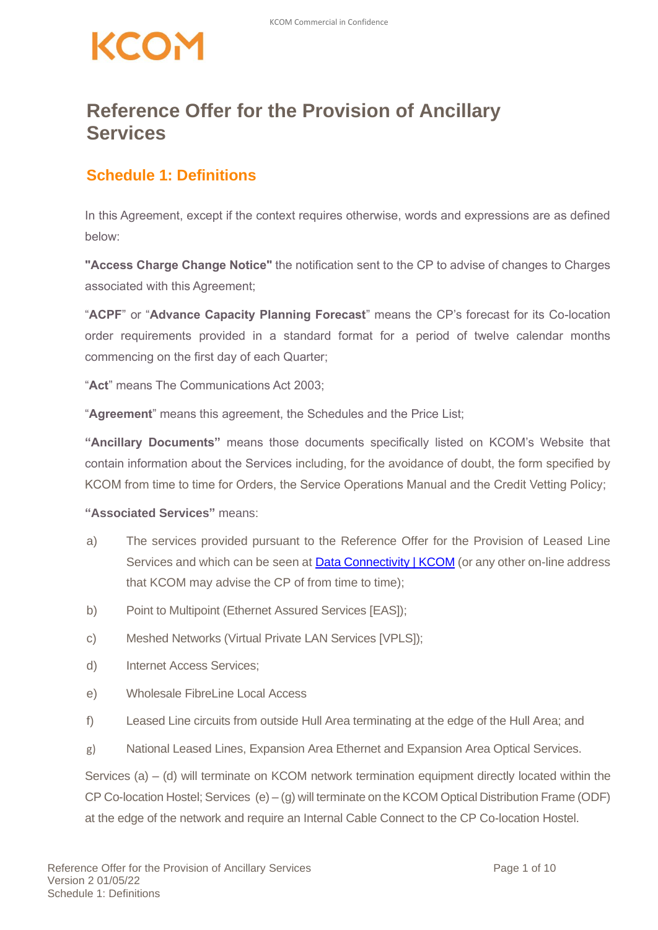## KCOM

#### **Reference Offer for the Provision of Ancillary Services**

#### **Schedule 1: Definitions**

In this Agreement, except if the context requires otherwise, words and expressions are as defined below:

**"Access Charge Change Notice"** the notification sent to the CP to advise of changes to Charges associated with this Agreement;

"**ACPF**" or "**Advance Capacity Planning Forecast**" means the CP's forecast for its Co-location order requirements provided in a standard format for a period of twelve calendar months commencing on the first day of each Quarter;

"**Act**" means The Communications Act 2003;

"**Agreement**" means this agreement, the Schedules and the Price List;

**"Ancillary Documents"** means those documents specifically listed on KCOM's Website that contain information about the Services including, for the avoidance of doubt, the form specified by KCOM from time to time for Orders, the Service Operations Manual and the Credit Vetting Policy;

#### **"Associated Services"** means:

- a) The services provided pursuant to the Reference Offer for the Provision of Leased Line Services and which can be seen at [Data Connectivity | KCOM](https://www.kcom.com/wholesale/products/data-connectivity/) (or any other on-line address that KCOM may advise the CP of from time to time);
- b) Point to Multipoint (Ethernet Assured Services [EAS]);
- c) Meshed Networks (Virtual Private LAN Services [VPLS]);
- d) Internet Access Services;
- e) Wholesale FibreLine Local Access
- f) Leased Line circuits from outside Hull Area terminating at the edge of the Hull Area; and
- g) National Leased Lines, Expansion Area Ethernet and Expansion Area Optical Services.

Services (a) – (d) will terminate on KCOM network termination equipment directly located within the CP Co-location Hostel; Services (e) – (g) will terminate on the KCOM Optical Distribution Frame (ODF) at the edge of the network and require an Internal Cable Connect to the CP Co-location Hostel.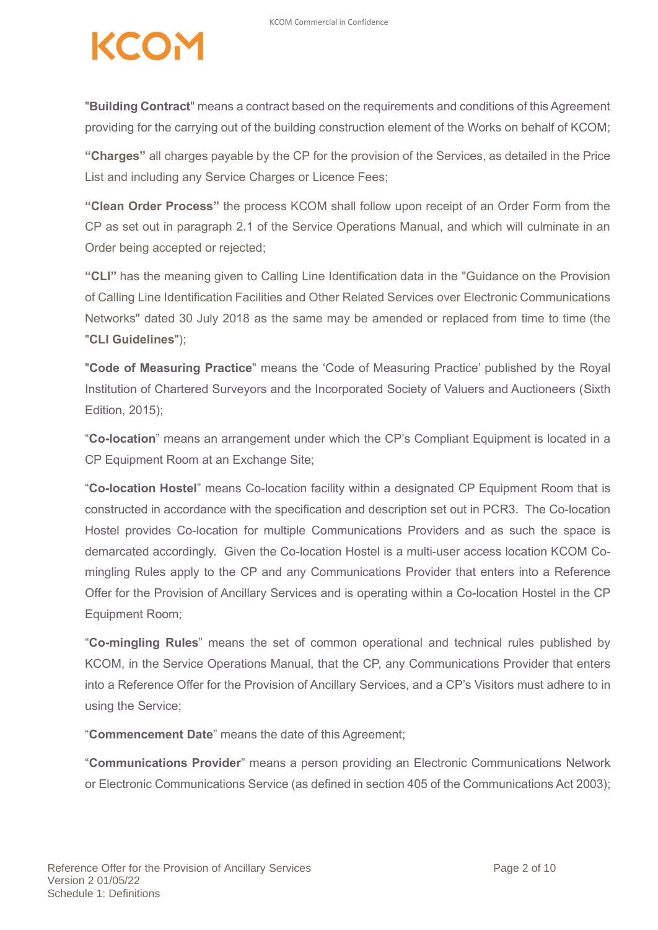"**Building Contract**" means a contract based on the requirements and conditions of this Agreement providing for the carrying out of the building construction element of the Works on behalf of KCOM;

**"Charges"** all charges payable by the CP for the provision of the Services, as detailed in the Price List and including any Service Charges or Licence Fees;

**"Clean Order Process"** the process KCOM shall follow upon receipt of an Order Form from the CP as set out in paragraph 2.1 of the Service Operations Manual, and which will culminate in an Order being accepted or rejected;

**"CLI"** has the meaning given to Calling Line Identification data in the "Guidance on the Provision of Calling Line Identification Facilities and Other Related Services over Electronic Communications Networks" dated 30 July 2018 as the same may be amended or replaced from time to time (the "**CLI Guidelines**");

"**Code of Measuring Practice**" means the 'Code of Measuring Practice' published by the Royal Institution of Chartered Surveyors and the Incorporated Society of Valuers and Auctioneers (Sixth Edition, 2015);

"**Co-location**" means an arrangement under which the CP's Compliant Equipment is located in a CP Equipment Room at an Exchange Site;

"**Co-location Hostel**" means Co-location facility within a designated CP Equipment Room that is constructed in accordance with the specification and description set out in PCR3. The Co-location Hostel provides Co-location for multiple Communications Providers and as such the space is demarcated accordingly. Given the Co-location Hostel is a multi-user access location KCOM Comingling Rules apply to the CP and any Communications Provider that enters into a Reference Offer for the Provision of Ancillary Services and is operating within a Co-location Hostel in the CP Equipment Room;

"**Co-mingling Rules**" means the set of common operational and technical rules published by KCOM, in the Service Operations Manual, that the CP, any Communications Provider that enters into a Reference Offer for the Provision of Ancillary Services, and a CP's Visitors must adhere to in using the Service;

"**Commencement Date**" means the date of this Agreement;

"**Communications Provider**" means a person providing an Electronic Communications Network or Electronic Communications Service (as defined in section 405 of the Communications Act 2003);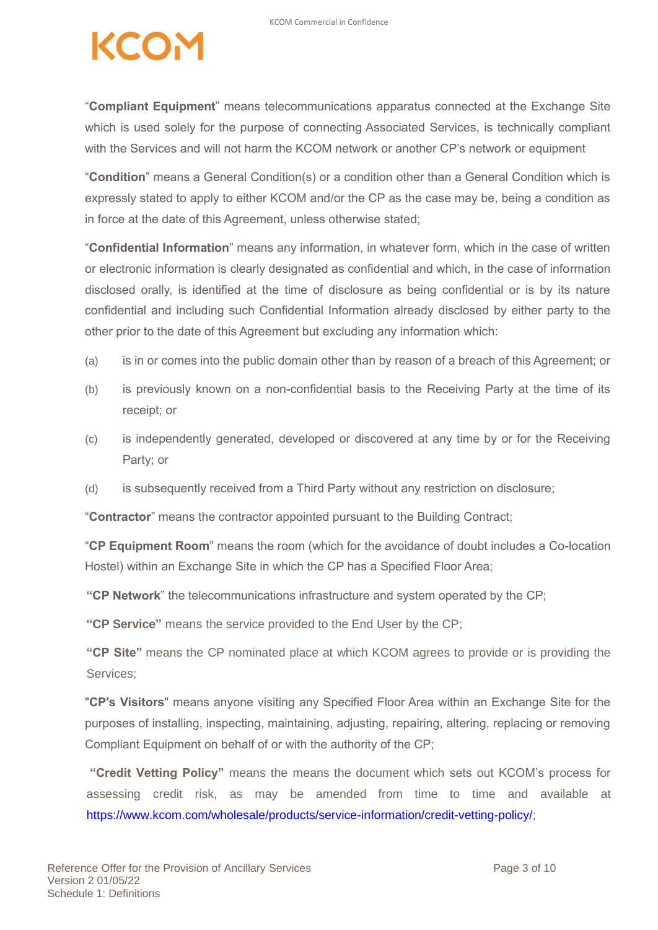# **ZEO.**

"**Compliant Equipment**" means telecommunications apparatus connected at the Exchange Site which is used solely for the purpose of connecting Associated Services, is technically compliant with the Services and will not harm the KCOM network or another CP's network or equipment

"**Condition**" means a General Condition(s) or a condition other than a General Condition which is expressly stated to apply to either KCOM and/or the CP as the case may be, being a condition as in force at the date of this Agreement, unless otherwise stated;

"**Confidential Information**" means any information, in whatever form, which in the case of written or electronic information is clearly designated as confidential and which, in the case of information disclosed orally, is identified at the time of disclosure as being confidential or is by its nature confidential and including such Confidential Information already disclosed by either party to the other prior to the date of this Agreement but excluding any information which:

- (a) is in or comes into the public domain other than by reason of a breach of this Agreement; or
- (b) is previously known on a non-confidential basis to the Receiving Party at the time of its receipt; or
- (c) is independently generated, developed or discovered at any time by or for the Receiving Party; or
- (d) is subsequently received from a Third Party without any restriction on disclosure;

"**Contractor**" means the contractor appointed pursuant to the Building Contract;

"**CP Equipment Room**" means the room (which for the avoidance of doubt includes a Co-location Hostel) within an Exchange Site in which the CP has a Specified Floor Area;

**"CP Network**" the telecommunications infrastructure and system operated by the CP;

**"CP Service"** means the service provided to the End User by the CP;

**"CP Site"** means the CP nominated place at which KCOM agrees to provide or is providing the Services;

"**CP's Visitors**" means anyone visiting any Specified Floor Area within an Exchange Site for the purposes of installing, inspecting, maintaining, adjusting, repairing, altering, replacing or removing Compliant Equipment on behalf of or with the authority of the CP;

**"Credit Vetting Policy"** means the means the document which sets out KCOM's process for assessing credit risk, as may be amended from time to time and available at https://www.kcom.com/wholesale/products/service-information/credit-vetting-policy/;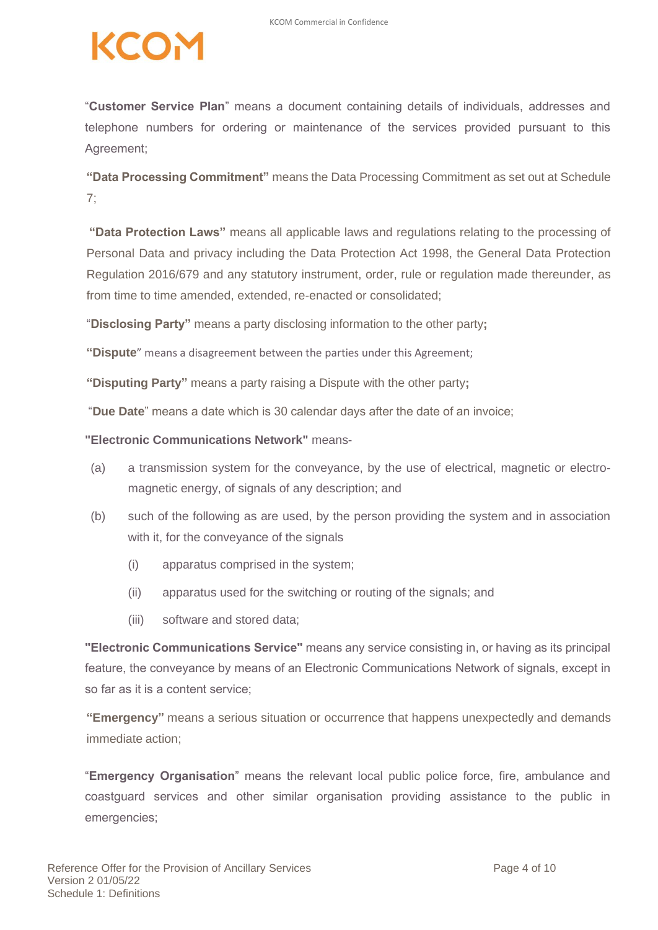"**Customer Service Plan**" means a document containing details of individuals, addresses and telephone numbers for ordering or maintenance of the services provided pursuant to this Agreement;

**"Data Processing Commitment"** means the Data Processing Commitment as set out at Schedule 7;

**"Data Protection Laws"** means all applicable laws and regulations relating to the processing of Personal Data and privacy including the Data Protection Act 1998, the General Data Protection Regulation 2016/679 and any statutory instrument, order, rule or regulation made thereunder, as from time to time amended, extended, re-enacted or consolidated;

"**Disclosing Party"** means a party disclosing information to the other party**;**

**"Dispute**" means a disagreement between the parties under this Agreement;

**"Disputing Party"** means a party raising a Dispute with the other party**;**

"**Due Date**" means a date which is 30 calendar days after the date of an invoice;

**"Electronic Communications Network"** means-

- (a) a transmission system for the conveyance, by the use of electrical, magnetic or electromagnetic energy, of signals of any description; and
- (b) such of the following as are used, by the person providing the system and in association with it, for the conveyance of the signals
	- (i) apparatus comprised in the system;
	- (ii) apparatus used for the switching or routing of the signals; and
	- (iii) software and stored data;

**"Electronic Communications Service"** means any service consisting in, or having as its principal feature, the conveyance by means of an Electronic Communications Network of signals, except in so far as it is a content service;

**"Emergency"** means a serious situation or occurrence that happens unexpectedly and demands immediate action;

"**Emergency Organisation**" means the relevant local public police force, fire, ambulance and coastguard services and other similar organisation providing assistance to the public in emergencies;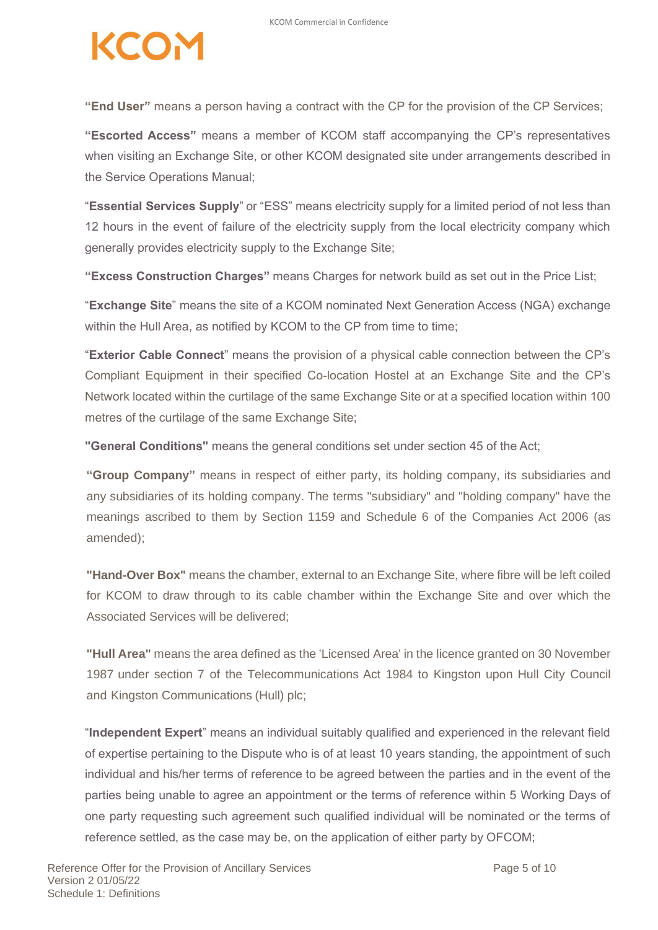**"End User"** means a person having a contract with the CP for the provision of the CP Services;

**"Escorted Access"** means a member of KCOM staff accompanying the CP's representatives when visiting an Exchange Site, or other KCOM designated site under arrangements described in the Service Operations Manual;

"**Essential Services Supply**" or "ESS" means electricity supply for a limited period of not less than 12 hours in the event of failure of the electricity supply from the local electricity company which generally provides electricity supply to the Exchange Site;

**"Excess Construction Charges"** means Charges for network build as set out in the Price List;

"**Exchange Site**" means the site of a KCOM nominated Next Generation Access (NGA) exchange within the Hull Area, as notified by KCOM to the CP from time to time;

"**Exterior Cable Connect**" means the provision of a physical cable connection between the CP's Compliant Equipment in their specified Co-location Hostel at an Exchange Site and the CP's Network located within the curtilage of the same Exchange Site or at a specified location within 100 metres of the curtilage of the same Exchange Site;

**"General Conditions"** means the general conditions set under section 45 of the Act;

**"Group Company"** means in respect of either party, its holding company, its subsidiaries and any subsidiaries of its holding company. The terms "subsidiary" and "holding company" have the meanings ascribed to them by Section 1159 and Schedule 6 of the Companies Act 2006 (as amended);

**"Hand-Over Box"** means the chamber, external to an Exchange Site, where fibre will be left coiled for KCOM to draw through to its cable chamber within the Exchange Site and over which the Associated Services will be delivered;

**"Hull Area"** means the area defined as the 'Licensed Area' in the licence granted on 30 November 1987 under section 7 of the Telecommunications Act 1984 to Kingston upon Hull City Council and Kingston Communications (Hull) plc;

"**Independent Expert**" means an individual suitably qualified and experienced in the relevant field of expertise pertaining to the Dispute who is of at least 10 years standing, the appointment of such individual and his/her terms of reference to be agreed between the parties and in the event of the parties being unable to agree an appointment or the terms of reference within 5 Working Days of one party requesting such agreement such qualified individual will be nominated or the terms of reference settled, as the case may be, on the application of either party by OFCOM;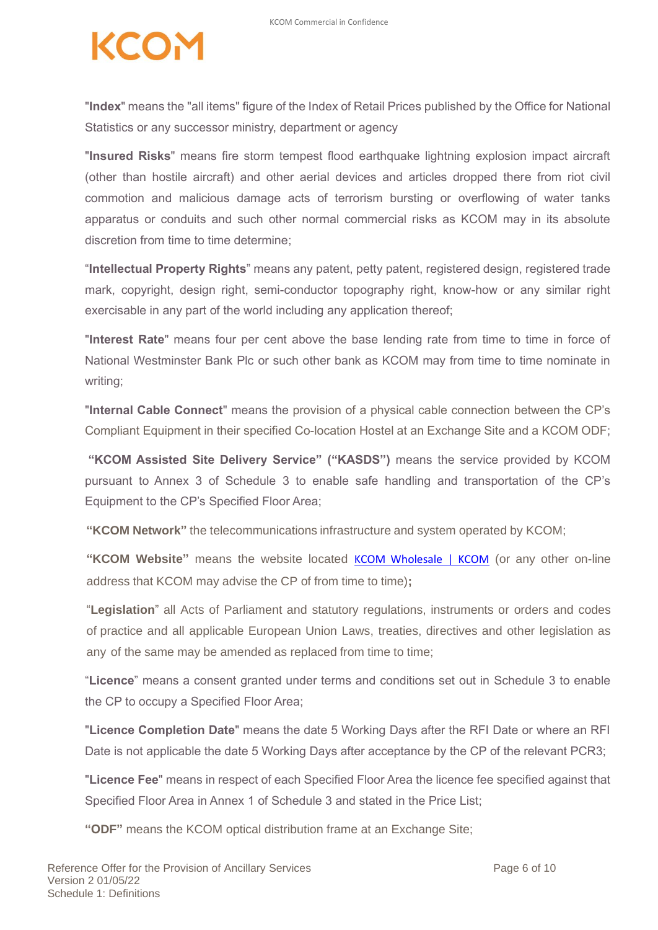"**Index**" means the "all items" figure of the Index of Retail Prices published by the Office for National Statistics or any successor ministry, department or agency

"**Insured Risks**" means fire storm tempest flood earthquake lightning explosion impact aircraft (other than hostile aircraft) and other aerial devices and articles dropped there from riot civil commotion and malicious damage acts of terrorism bursting or overflowing of water tanks apparatus or conduits and such other normal commercial risks as KCOM may in its absolute discretion from time to time determine;

"**Intellectual Property Rights**" means any patent, petty patent, registered design, registered trade mark, copyright, design right, semi-conductor topography right, know-how or any similar right exercisable in any part of the world including any application thereof;

"**Interest Rate**" means four per cent above the base lending rate from time to time in force of National Westminster Bank Plc or such other bank as KCOM may from time to time nominate in writing;

"**Internal Cable Connect**" means the provision of a physical cable connection between the CP's Compliant Equipment in their specified Co-location Hostel at an Exchange Site and a KCOM ODF;

**"KCOM Assisted Site Delivery Service" ("KASDS")** means the service provided by KCOM pursuant to Annex 3 of Schedule 3 to enable safe handling and transportation of the CP's Equipment to the CP's Specified Floor Area;

**"KCOM Network"** the telecommunications infrastructure and system operated by KCOM;

**"KCOM Website"** means the website located [KCOM Wholesale | KCOM](https://www.kcom.com/wholesale/) (or any other on-line address that KCOM may advise the CP of from time to time)**;**

"**Legislation**" all Acts of Parliament and statutory regulations, instruments or orders and codes of practice and all applicable European Union Laws, treaties, directives and other legislation as any of the same may be amended as replaced from time to time;

"**Licence**" means a consent granted under terms and conditions set out in Schedule 3 to enable the CP to occupy a Specified Floor Area;

"**Licence Completion Date**" means the date 5 Working Days after the RFI Date or where an RFI Date is not applicable the date 5 Working Days after acceptance by the CP of the relevant PCR3;

"**Licence Fee**" means in respect of each Specified Floor Area the licence fee specified against that Specified Floor Area in Annex 1 of Schedule 3 and stated in the Price List;

**"ODF"** means the KCOM optical distribution frame at an Exchange Site;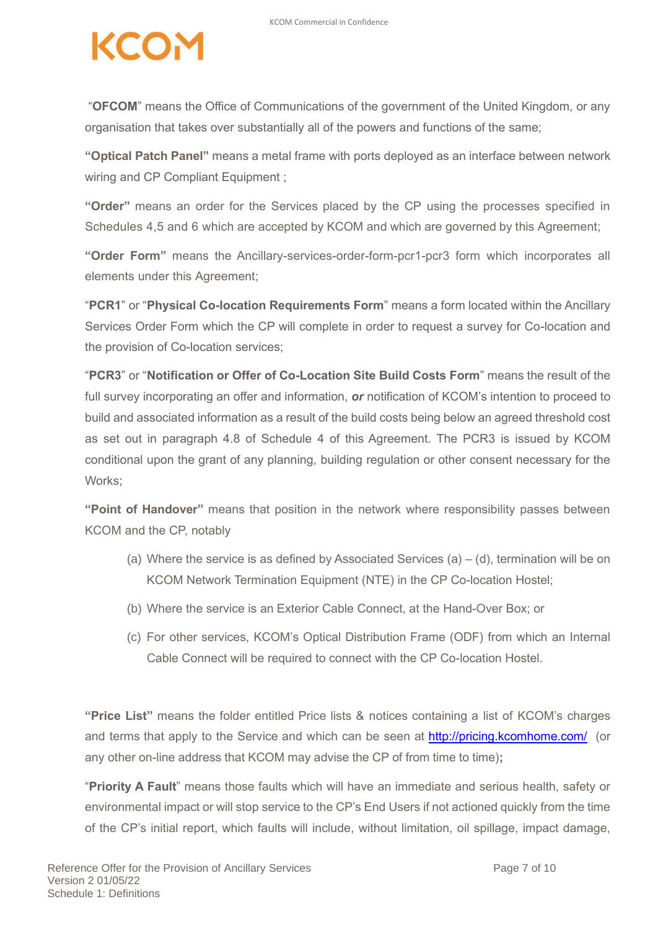"**OFCOM**" means the Office of Communications of the government of the United Kingdom, or any organisation that takes over substantially all of the powers and functions of the same;

**"Optical Patch Panel"** means a metal frame with ports deployed as an interface between network wiring and CP Compliant Equipment ;

**"Order"** means an order for the Services placed by the CP using the processes specified in Schedules 4,5 and 6 which are accepted by KCOM and which are governed by this Agreement;

**"Order Form"** means the Ancillary-services-order-form-pcr1-pcr3 form which incorporates all elements under this Agreement;

"**PCR1**" or "**Physical Co-location Requirements Form**" means a form located within the Ancillary Services Order Form which the CP will complete in order to request a survey for Co-location and the provision of Co-location services;

"**PCR3**" or "**Notification or Offer of Co-Location Site Build Costs Form**" means the result of the full survey incorporating an offer and information, *or* notification of KCOM's intention to proceed to build and associated information as a result of the build costs being below an agreed threshold cost as set out in paragraph 4.8 of Schedule 4 of this Agreement. The PCR3 is issued by KCOM conditional upon the grant of any planning, building regulation or other consent necessary for the Works:

**"Point of Handover"** means that position in the network where responsibility passes between KCOM and the CP, notably

- (a) Where the service is as defined by Associated Services (a)  $-$  (d), termination will be on KCOM Network Termination Equipment (NTE) in the CP Co-location Hostel;
- (b) Where the service is an Exterior Cable Connect, at the Hand-Over Box; or
- (c) For other services, KCOM's Optical Distribution Frame (ODF) from which an Internal Cable Connect will be required to connect with the CP Co-location Hostel.

**"Price List"** means the folder entitled Price lists & notices containing a list of KCOM's charges and terms that apply to the Service and which can be seen at <http://pricing.kcomhome.com/> (or any other on-line address that KCOM may advise the CP of from time to time)**;**

"**Priority A Fault**" means those faults which will have an immediate and serious health, safety or environmental impact or will stop service to the CP's End Users if not actioned quickly from the time of the CP's initial report, which faults will include, without limitation, oil spillage, impact damage,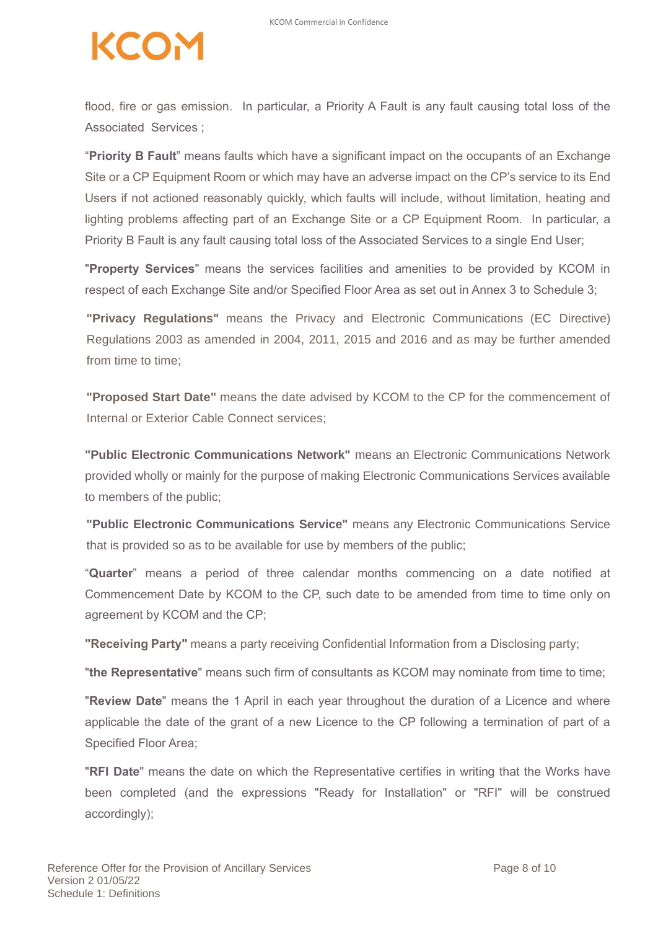flood, fire or gas emission. In particular, a Priority A Fault is any fault causing total loss of the Associated Services ;

"**Priority B Fault**" means faults which have a significant impact on the occupants of an Exchange Site or a CP Equipment Room or which may have an adverse impact on the CP's service to its End Users if not actioned reasonably quickly, which faults will include, without limitation, heating and lighting problems affecting part of an Exchange Site or a CP Equipment Room. In particular, a Priority B Fault is any fault causing total loss of the Associated Services to a single End User;

"**Property Services**" means the services facilities and amenities to be provided by KCOM in respect of each Exchange Site and/or Specified Floor Area as set out in Annex 3 to Schedule 3;

**"Privacy Regulations"** means the Privacy and Electronic Communications (EC Directive) Regulations 2003 as amended in 2004, 2011, 2015 and 2016 and as may be further amended from time to time;

**"Proposed Start Date"** means the date advised by KCOM to the CP for the commencement of Internal or Exterior Cable Connect services;

**"Public Electronic Communications Network"** means an Electronic Communications Network provided wholly or mainly for the purpose of making Electronic Communications Services available to members of the public;

**"Public Electronic Communications Service"** means any Electronic Communications Service that is provided so as to be available for use by members of the public;

"**Quarter**" means a period of three calendar months commencing on a date notified at Commencement Date by KCOM to the CP, such date to be amended from time to time only on agreement by KCOM and the CP;

**"Receiving Party"** means a party receiving Confidential Information from a Disclosing party;

"**the Representative**" means such firm of consultants as KCOM may nominate from time to time;

"**Review Date**" means the 1 April in each year throughout the duration of a Licence and where applicable the date of the grant of a new Licence to the CP following a termination of part of a Specified Floor Area;

"**RFI Date**" means the date on which the Representative certifies in writing that the Works have been completed (and the expressions "Ready for Installation" or "RFI" will be construed accordingly);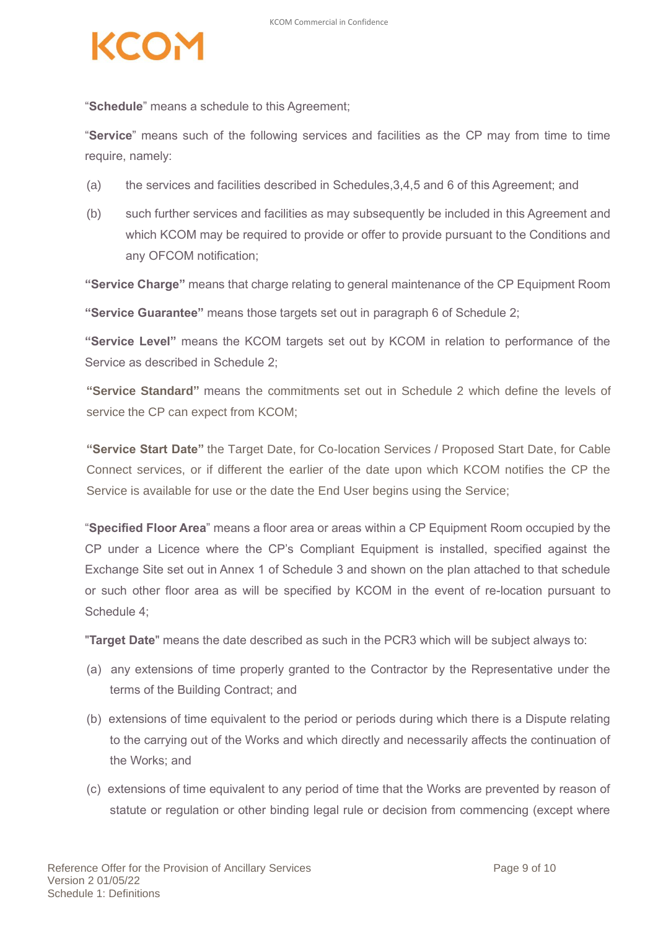"**Schedule**" means a schedule to this Agreement;

"**Service**" means such of the following services and facilities as the CP may from time to time require, namely:

- (a) the services and facilities described in Schedules,3,4,5 and 6 of this Agreement; and
- (b) such further services and facilities as may subsequently be included in this Agreement and which KCOM may be required to provide or offer to provide pursuant to the Conditions and any OFCOM notification;

**"Service Charge"** means that charge relating to general maintenance of the CP Equipment Room

**"Service Guarantee"** means those targets set out in paragraph 6 of Schedule 2;

**"Service Level"** means the KCOM targets set out by KCOM in relation to performance of the Service as described in Schedule 2;

**"Service Standard"** means the commitments set out in Schedule 2 which define the levels of service the CP can expect from KCOM;

**"Service Start Date"** the Target Date, for Co-location Services / Proposed Start Date, for Cable Connect services, or if different the earlier of the date upon which KCOM notifies the CP the Service is available for use or the date the End User begins using the Service;

"**Specified Floor Area**" means a floor area or areas within a CP Equipment Room occupied by the CP under a Licence where the CP's Compliant Equipment is installed, specified against the Exchange Site set out in Annex 1 of Schedule 3 and shown on the plan attached to that schedule or such other floor area as will be specified by KCOM in the event of re-location pursuant to Schedule 4;

"**Target Date**" means the date described as such in the PCR3 which will be subject always to:

- (a) any extensions of time properly granted to the Contractor by the Representative under the terms of the Building Contract; and
- (b) extensions of time equivalent to the period or periods during which there is a Dispute relating to the carrying out of the Works and which directly and necessarily affects the continuation of the Works; and
- (c) extensions of time equivalent to any period of time that the Works are prevented by reason of statute or regulation or other binding legal rule or decision from commencing (except where